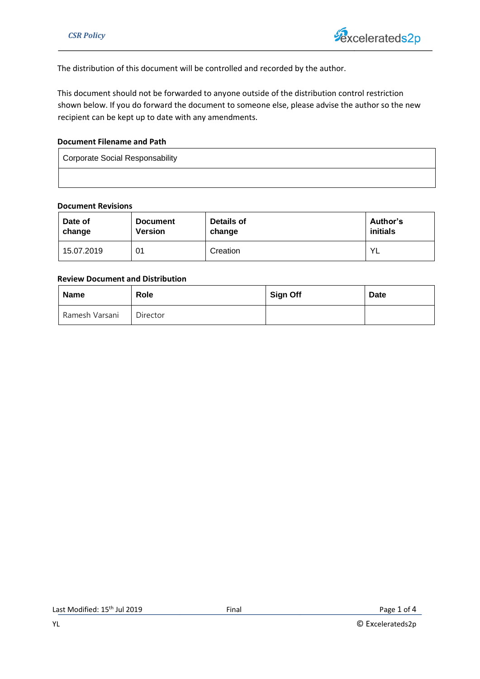The distribution of this document will be controlled and recorded by the author.

This document should not be forwarded to anyone outside of the distribution control restriction shown below. If you do forward the document to someone else, please advise the author so the new recipient can be kept up to date with any amendments.

## **Document Filename and Path**

Corporate Social Responsability

#### **Document Revisions**

| Date of    | <b>Document</b> | Details of | Author's  |
|------------|-----------------|------------|-----------|
| change     | <b>Version</b>  | change     | initials  |
| 15.07.2019 | 01              | Creation   | <b>YL</b> |

## **Review Document and Distribution**

| Name           | <b>Role</b> | <b>Sign Off</b> | <b>Date</b> |
|----------------|-------------|-----------------|-------------|
| Ramesh Varsani | Director    |                 |             |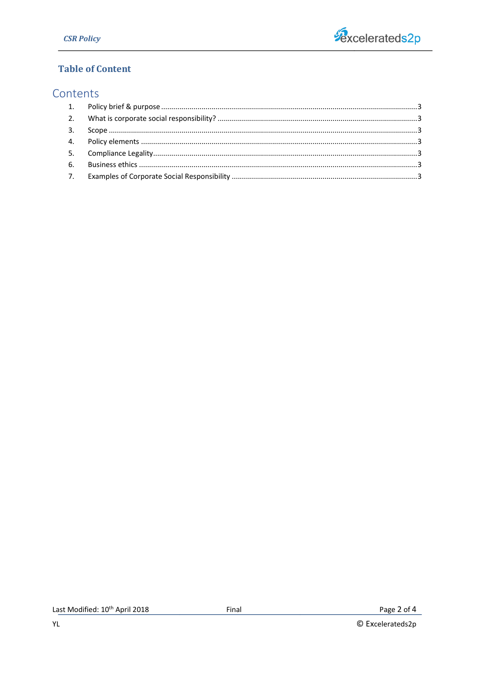

# **Table of Content**

# Contents

© Excelerateds2p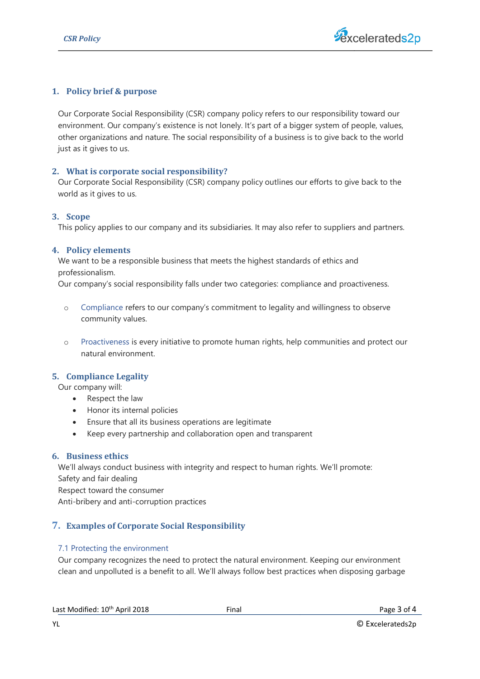

## <span id="page-2-0"></span>**1. Policy brief & purpose**

environment. Surform and nature. The social responsibility of a business is to give back to the world<br>other organizations and nature. The social responsibility of a business is to give back to the world Our Corporate Social Responsibility (CSR) company policy refers to our responsibility toward our environment. Our company's existence is not lonely. It's part of a bigger system of people, values, just as it gives to us.

#### <span id="page-2-1"></span>**2. What is corporate social responsibility?**

Our Corporate Social Responsibility (CSR) company policy outlines our efforts to give back to the world as it gives to us.

#### <span id="page-2-2"></span>**3. Scope**

This policy applies to our company and its subsidiaries. It may also refer to suppliers and partners.

#### <span id="page-2-3"></span>**4. Policy elements**

We want to be a responsible business that meets the highest standards of ethics and professionalism.

Our company's social responsibility falls under two categories: compliance and proactiveness.

- o Compliance refers to our company's commitment to legality and willingness to observe community values.
- o Proactiveness is every initiative to promote human rights, help communities and protect our natural environment.

## <span id="page-2-4"></span>**5. Compliance Legality**

Our company will:

- Respect the law
- Honor its internal policies
- Ensure that all its business operations are legitimate
- Keep every partnership and collaboration open and transparent

## <span id="page-2-5"></span>**6. Business ethics**

We'll always conduct business with integrity and respect to human rights. We'll promote: Safety and fair dealing Respect toward the consumer Anti-bribery and anti-corruption practices

# <span id="page-2-6"></span>**7. Examples of Corporate Social Responsibility**

#### 7.1 Protecting the environment

Our company recognizes the need to protect the natural environment. Keeping our environment clean and unpolluted is a benefit to all. We'll always follow best practices when disposing garbage

| Last Modified: 10 <sup>th</sup> April 2018 | Final | Page 3 of 4 |
|--------------------------------------------|-------|-------------|
|                                            |       |             |